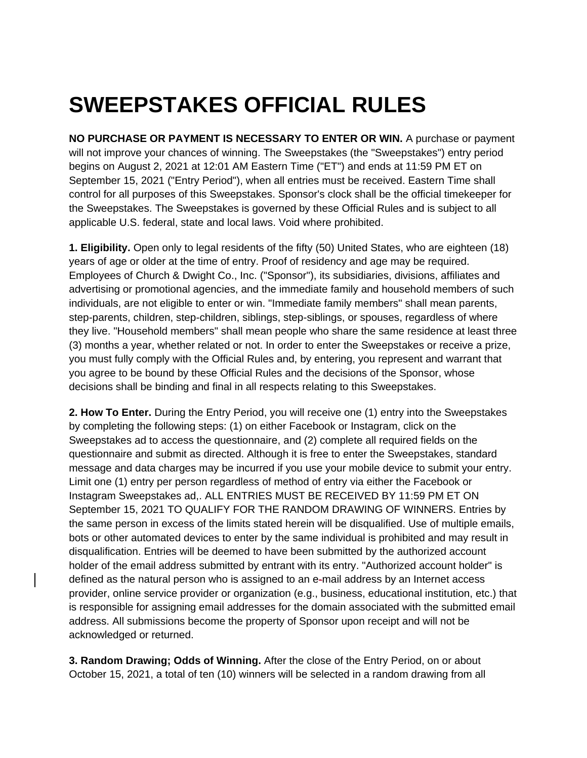## **SWEEPSTAKES OFFICIAL RULES**

**NO PURCHASE OR PAYMENT IS NECESSARY TO ENTER OR WIN.** A purchase or payment will not improve your chances of winning. The Sweepstakes (the "Sweepstakes") entry period begins on August 2, 2021 at 12:01 AM Eastern Time ("ET") and ends at 11:59 PM ET on September 15, 2021 ("Entry Period"), when all entries must be received. Eastern Time shall control for all purposes of this Sweepstakes. Sponsor's clock shall be the official timekeeper for the Sweepstakes. The Sweepstakes is governed by these Official Rules and is subject to all applicable U.S. federal, state and local laws. Void where prohibited.

**1. Eligibility.** Open only to legal residents of the fifty (50) United States, who are eighteen (18) years of age or older at the time of entry. Proof of residency and age may be required. Employees of Church & Dwight Co., Inc. ("Sponsor"), its subsidiaries, divisions, affiliates and advertising or promotional agencies, and the immediate family and household members of such individuals, are not eligible to enter or win. "Immediate family members" shall mean parents, step-parents, children, step-children, siblings, step-siblings, or spouses, regardless of where they live. "Household members" shall mean people who share the same residence at least three (3) months a year, whether related or not. In order to enter the Sweepstakes or receive a prize, you must fully comply with the Official Rules and, by entering, you represent and warrant that you agree to be bound by these Official Rules and the decisions of the Sponsor, whose decisions shall be binding and final in all respects relating to this Sweepstakes.

**2. How To Enter.** During the Entry Period, you will receive one (1) entry into the Sweepstakes by completing the following steps: (1) on either Facebook or Instagram, click on the Sweepstakes ad to access the questionnaire, and (2) complete all required fields on the questionnaire and submit as directed. Although it is free to enter the Sweepstakes, standard message and data charges may be incurred if you use your mobile device to submit your entry. Limit one (1) entry per person regardless of method of entry via either the Facebook or Instagram Sweepstakes ad,. ALL ENTRIES MUST BE RECEIVED BY 11:59 PM ET ON September 15, 2021 TO QUALIFY FOR THE RANDOM DRAWING OF WINNERS. Entries by the same person in excess of the limits stated herein will be disqualified. Use of multiple emails, bots or other automated devices to enter by the same individual is prohibited and may result in disqualification. Entries will be deemed to have been submitted by the authorized account holder of the email address submitted by entrant with its entry. "Authorized account holder" is defined as the natural person who is assigned to an e-mail address by an Internet access provider, online service provider or organization (e.g., business, educational institution, etc.) that is responsible for assigning email addresses for the domain associated with the submitted email address. All submissions become the property of Sponsor upon receipt and will not be acknowledged or returned.

**3. Random Drawing; Odds of Winning.** After the close of the Entry Period, on or about October 15, 2021, a total of ten (10) winners will be selected in a random drawing from all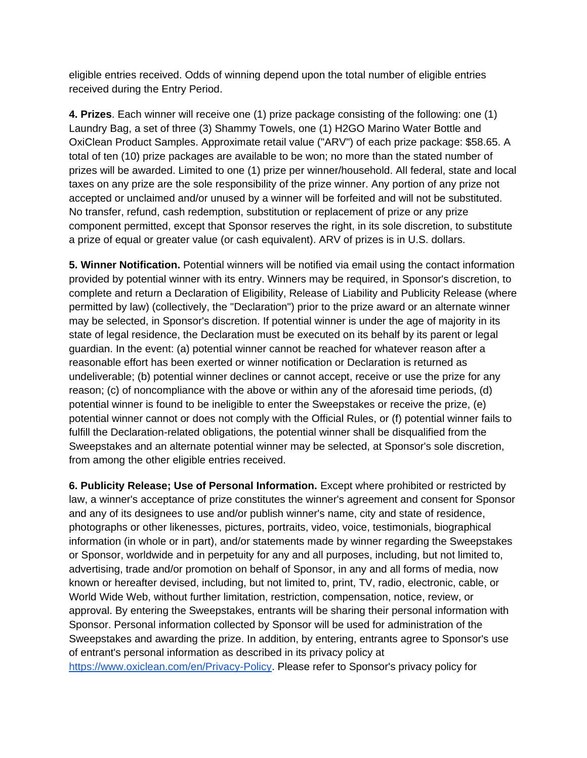eligible entries received. Odds of winning depend upon the total number of eligible entries received during the Entry Period.

**4. Prizes**. Each winner will receive one (1) prize package consisting of the following: one (1) Laundry Bag, a set of three (3) Shammy Towels, one (1) H2GO Marino Water Bottle and OxiClean Product Samples. Approximate retail value ("ARV") of each prize package: \$58.65. A total of ten (10) prize packages are available to be won; no more than the stated number of prizes will be awarded. Limited to one (1) prize per winner/household. All federal, state and local taxes on any prize are the sole responsibility of the prize winner. Any portion of any prize not accepted or unclaimed and/or unused by a winner will be forfeited and will not be substituted. No transfer, refund, cash redemption, substitution or replacement of prize or any prize component permitted, except that Sponsor reserves the right, in its sole discretion, to substitute a prize of equal or greater value (or cash equivalent). ARV of prizes is in U.S. dollars.

**5. Winner Notification.** Potential winners will be notified via email using the contact information provided by potential winner with its entry. Winners may be required, in Sponsor's discretion, to complete and return a Declaration of Eligibility, Release of Liability and Publicity Release (where permitted by law) (collectively, the "Declaration") prior to the prize award or an alternate winner may be selected, in Sponsor's discretion. If potential winner is under the age of majority in its state of legal residence, the Declaration must be executed on its behalf by its parent or legal guardian. In the event: (a) potential winner cannot be reached for whatever reason after a reasonable effort has been exerted or winner notification or Declaration is returned as undeliverable; (b) potential winner declines or cannot accept, receive or use the prize for any reason; (c) of noncompliance with the above or within any of the aforesaid time periods, (d) potential winner is found to be ineligible to enter the Sweepstakes or receive the prize, (e) potential winner cannot or does not comply with the Official Rules, or (f) potential winner fails to fulfill the Declaration-related obligations, the potential winner shall be disqualified from the Sweepstakes and an alternate potential winner may be selected, at Sponsor's sole discretion, from among the other eligible entries received.

**6. Publicity Release; Use of Personal Information.** Except where prohibited or restricted by law, a winner's acceptance of prize constitutes the winner's agreement and consent for Sponsor and any of its designees to use and/or publish winner's name, city and state of residence, photographs or other likenesses, pictures, portraits, video, voice, testimonials, biographical information (in whole or in part), and/or statements made by winner regarding the Sweepstakes or Sponsor, worldwide and in perpetuity for any and all purposes, including, but not limited to, advertising, trade and/or promotion on behalf of Sponsor, in any and all forms of media, now known or hereafter devised, including, but not limited to, print, TV, radio, electronic, cable, or World Wide Web, without further limitation, restriction, compensation, notice, review, or approval. By entering the Sweepstakes, entrants will be sharing their personal information with Sponsor. Personal information collected by Sponsor will be used for administration of the Sweepstakes and awarding the prize. In addition, by entering, entrants agree to Sponsor's use of entrant's personal information as described in its privacy policy a[t](https://www.oxiclean.com/en/Privacy-Policy) [https://www.oxiclean.com/en/Privacy-Policy.](https://www.oxiclean.com/en/Privacy-Policy) Please refer to Sponsor's privacy policy for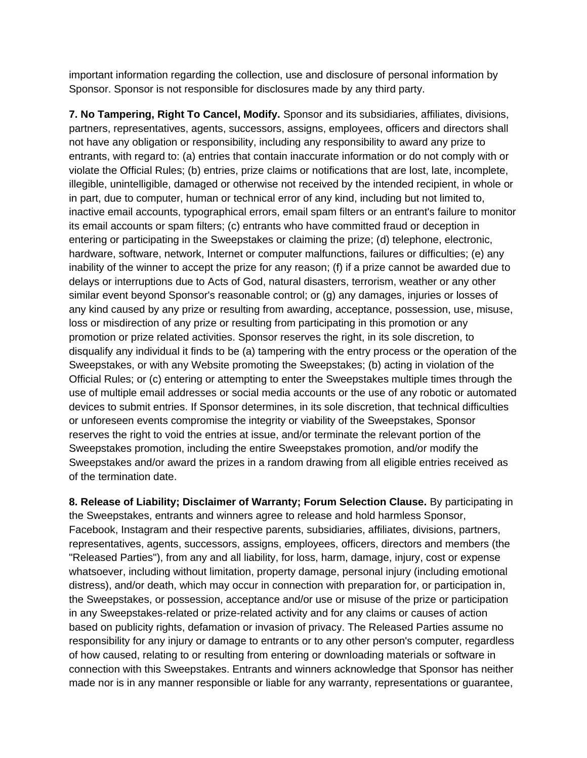important information regarding the collection, use and disclosure of personal information by Sponsor. Sponsor is not responsible for disclosures made by any third party.

**7. No Tampering, Right To Cancel, Modify.** Sponsor and its subsidiaries, affiliates, divisions, partners, representatives, agents, successors, assigns, employees, officers and directors shall not have any obligation or responsibility, including any responsibility to award any prize to entrants, with regard to: (a) entries that contain inaccurate information or do not comply with or violate the Official Rules; (b) entries, prize claims or notifications that are lost, late, incomplete, illegible, unintelligible, damaged or otherwise not received by the intended recipient, in whole or in part, due to computer, human or technical error of any kind, including but not limited to, inactive email accounts, typographical errors, email spam filters or an entrant's failure to monitor its email accounts or spam filters; (c) entrants who have committed fraud or deception in entering or participating in the Sweepstakes or claiming the prize; (d) telephone, electronic, hardware, software, network, Internet or computer malfunctions, failures or difficulties; (e) any inability of the winner to accept the prize for any reason; (f) if a prize cannot be awarded due to delays or interruptions due to Acts of God, natural disasters, terrorism, weather or any other similar event beyond Sponsor's reasonable control; or (g) any damages, injuries or losses of any kind caused by any prize or resulting from awarding, acceptance, possession, use, misuse, loss or misdirection of any prize or resulting from participating in this promotion or any promotion or prize related activities. Sponsor reserves the right, in its sole discretion, to disqualify any individual it finds to be (a) tampering with the entry process or the operation of the Sweepstakes, or with any Website promoting the Sweepstakes; (b) acting in violation of the Official Rules; or (c) entering or attempting to enter the Sweepstakes multiple times through the use of multiple email addresses or social media accounts or the use of any robotic or automated devices to submit entries. If Sponsor determines, in its sole discretion, that technical difficulties or unforeseen events compromise the integrity or viability of the Sweepstakes, Sponsor reserves the right to void the entries at issue, and/or terminate the relevant portion of the Sweepstakes promotion, including the entire Sweepstakes promotion, and/or modify the Sweepstakes and/or award the prizes in a random drawing from all eligible entries received as of the termination date.

**8. Release of Liability; Disclaimer of Warranty; Forum Selection Clause.** By participating in the Sweepstakes, entrants and winners agree to release and hold harmless Sponsor, Facebook, Instagram and their respective parents, subsidiaries, affiliates, divisions, partners, representatives, agents, successors, assigns, employees, officers, directors and members (the "Released Parties"), from any and all liability, for loss, harm, damage, injury, cost or expense whatsoever, including without limitation, property damage, personal injury (including emotional distress), and/or death, which may occur in connection with preparation for, or participation in, the Sweepstakes, or possession, acceptance and/or use or misuse of the prize or participation in any Sweepstakes-related or prize-related activity and for any claims or causes of action based on publicity rights, defamation or invasion of privacy. The Released Parties assume no responsibility for any injury or damage to entrants or to any other person's computer, regardless of how caused, relating to or resulting from entering or downloading materials or software in connection with this Sweepstakes. Entrants and winners acknowledge that Sponsor has neither made nor is in any manner responsible or liable for any warranty, representations or guarantee,